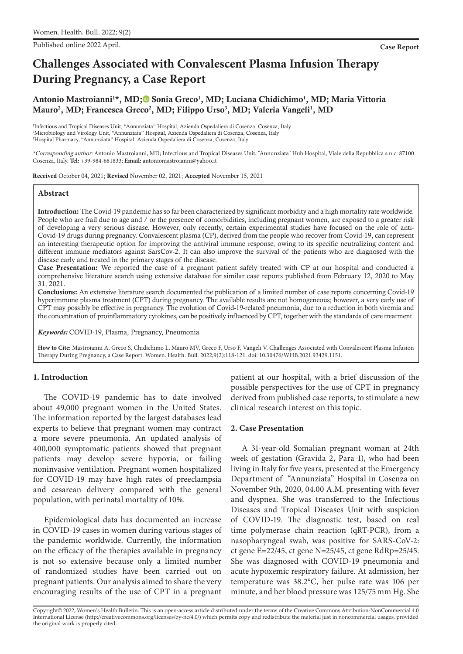Published online 2022 April. **Case Report**

# **Challenges Associated with Convalescent Plasma Infusion Therapy During Pregnancy, a Case Report**

Antonio Mastroianni<sup>1\*</sup>, MD;<sup>®</sup> Sonia Greco<sup>1</sup>, MD[;](https://orcid.org/0000-0002-1641-1491) Luciana Chidichimo<sup>1</sup>, MD; Maria Vittoria Mauro<sup>2</sup>, MD; Francesca Greco<sup>2</sup>, MD; Filippo Urso<sup>3</sup>, MD; Valeria Vangeli<sup>1</sup>, MD

1 Infectious and Tropical Diseases Unit, "Annunziata" Hospital, Azienda Ospedaliera di Cosenza, Cosenza, Italy 2 Microbiology and Virology Unit, "Annunziata" Hospital, Azienda Ospedaliera di Cosenza, Cosenza, Italy 3 Hospital Pharmacy, "Annunziata" Hospital, Azienda Ospedaliera di Cosenza, Cosenza, Italy

\*Corresponding author: Antonio Mastroianni, MD; Infectious and Tropical Diseases Unit, "Annunziata" Hub Hospital, Viale della Repubblica s.n.c. 87100 Cosenza, Italy. **Tel:** +39-984-681833; **Email:** antoniomastroianni@yahoo.it

Received October 04, 2021; Revised November 02, 2021; Accepted November 15, 2021

#### **Abstract**

Introduction: The Covid-19 pandemic has so far been characterized by significant morbidity and a high mortality rate worldwide. People who are frail due to age and / or the presence of comorbidities, including pregnant women, are exposed to a greater risk of developing a very serious disease. However, only recently, certain experimental studies have focused on the role of anti-Covid-19 drugs during pregnancy. Convalescent plasma (CP), derived from the people who recover from Covid-19, can represent an interesting therapeutic option for improving the antiviral immune response, owing to its specific neutralizing content and different immune mediators against SarsCov-2. It can also improve the survival of the patients who are diagnosed with the disease early and treated in the primary stages of the disease.

Case Presentation: We reported the case of a pregnant patient safely treated with CP at our hospital and conducted a comprehensive literature search using extensive database for similar case reports published from February 12, 2020 to May 31, 2021.

Conclusions: An extensive literature search documented the publication of a limited number of case reports concerning Covid-19 hyperimmune plasma treatment (CPT) during pregnancy. The available results are not homogeneous; however, a very early use of CPT may possibly be effective in pregnancy. The evolution of Covid-19-related pneumonia, due to a reduction in both viremia and the concentration of proinflammatory cytokines, can be positively influenced by CPT, together with the standards of care treatment.

*Keywords:* COVID-19, Plasma, Pregnancy, Pneumonia

**How to Cite:** Mastroianni A, Greco S, Chidichimo L, Mauro MV, Greco F, Urso F, Vangeli V. Challenges Associated with Convalescent Plasma Infusion Therapy During Pregnancy, a Case Report. Women. Health. Bull. 2022;9(2):118-121. doi: 10.30476/WHB.2021.93429.1151.

## **1. Introduction**

The COVID-19 pandemic has to date involved about 49,000 pregnant women in the United States. The information reported by the largest databases lead experts to believe that pregnant women may contract a more severe pneumonia. An updated analysis of 400,000 symptomatic patients showed that pregnant patients may develop severe hypoxia, or failing noninvasive ventilation. Pregnant women hospitalized for COVID-19 may have high rates of preeclampsia and cesarean delivery compared with the general population, with perinatal mortality of 10%.

Epidemiological data has documented an increase in COVID-19 cases in women during various stages of the pandemic worldwide. Currently, the information on the efficacy of the therapies available in pregnancy is not so extensive because only a limited number of randomized studies have been carried out on pregnant patients. Our analysis aimed to share the very encouraging results of the use of CPT in a pregnant

patient at our hospital, with a brief discussion of the possible perspectives for the use of CPT in pregnancy derived from published case reports, to stimulate a new clinical research interest on this topic.

#### **2. Case Presentation**

A 31-year-old Somalian pregnant woman at 24th week of gestation (Gravida 2, Para 1), who had been living in Italy for five years, presented at the Emergency Department of "Annunziata" Hospital in Cosenza on November 9th, 2020, 04.00 A.M. presenting with fever and dyspnea. She was transferred to the Infectious Diseases and Tropical Diseases Unit with suspicion of COVID-19. The diagnostic test, based on real time polymerase chain reaction (qRT-PCR), from a nasopharyngeal swab, was positive for SARS-CoV-2: ct gene E=22/45, ct gene N=25/45, ct gene RdRp=25/45. She was diagnosed with COVID-19 pneumonia and acute hypoxemic respiratory failure. At admission, her temperature was 38.2°C, her pulse rate was 106 per minute, and her blood pressure was 125/75mm Hg. She

Copyright© 2022, Women's Health Bulletin. This is an open-access article distributed under the terms of the Creative Commons Attribution-NonCommercial 4.0 International License (http://creativecommons.org/licenses/by-nc/4.0/) which permits copy and redistribute the material just in noncommercial usages, provided the original work is properly cited.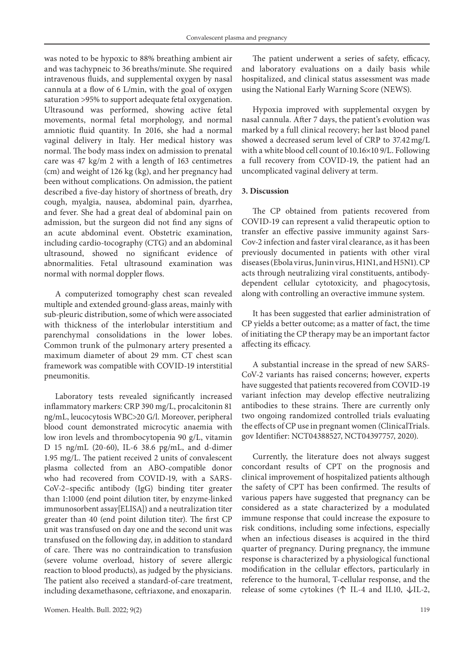was noted to be hypoxic to 88% breathing ambient air and was tachypneic to 36 breaths/minute. She required intravenous fluids, and supplemental oxygen by nasal cannula at a flow of 6 L/min, with the goal of oxygen saturation >95% to support adequate fetal oxygenation. Ultrasound was performed, showing active fetal movements, normal fetal morphology, and normal amniotic fluid quantity. In 2016, she had a normal vaginal delivery in Italy. Her medical history was normal. The body mass index on admission to prenatal care was 47 kg/m 2 with a length of 163 centimetres (cm) and weight of 126 kg (kg), and her pregnancy had been without complications. On admission, the patient described a five-day history of shortness of breath, dry cough, myalgia, nausea, abdominal pain, dyarrhea, and fever. She had a great deal of abdominal pain on admission, but the surgeon did not find any signs of an acute abdominal event. Obstetric examination, including cardio-tocography (CTG) and an abdominal ultrasound, showed no significant evidence of abnormalities. Fetal ultrasound examination was normal with normal doppler flows.

A computerized tomography chest scan revealed multiple and extended ground-glass areas, mainly with sub-pleuric distribution, some of which were associated with thickness of the interlobular interstitium and parenchymal consolidations in the lower lobes. Common trunk of the pulmonary artery presented a maximum diameter of about 29 mm. CT chest scan framework was compatible with COVID-19 interstitial pneumonitis.

Laboratory tests revealed significantly increased inflammatory markers: CRP 390 mg/L, procalcitonin 81 ng/mL, leucocytosis WBC>20 G/l. Moreover, peripheral blood count demonstrated microcytic anaemia with low iron levels and thrombocytopenia 90 g/L, vitamin D 15 ng/mL (20-60), IL-6 38.6 pg/mL, and d-dimer 1.95 mg/L. The patient received 2 units of convalescent plasma collected from an ABO-compatible donor who had recovered from COVID-19, with a SARS-CoV-2–specific antibody (IgG) binding titer greater than 1:1000 (end point dilution titer, by enzyme-linked immunosorbent assay[ELISA]) and a neutralization titer greater than 40 (end point dilution titer). The first CP unit was transfused on day one and the second unit was transfused on the following day, in addition to standard of care. There was no contraindication to transfusion (severe volume overload, history of severe allergic reaction to blood products), as judged by the physicians. The patient also received a standard-of-care treatment, including dexamethasone, ceftriaxone, and enoxaparin.

The patient underwent a series of safety, efficacy, and laboratory evaluations on a daily basis while hospitalized, and clinical status assessment was made using the National Early Warning Score (NEWS).

Hypoxia improved with supplemental oxygen by nasal cannula. After 7 days, the patient's evolution was marked by a full clinical recovery; her last blood panel showed a decreased serum level of CRP to 37.42mg/L with a white blood cell count of 10.16×10 9/L. Following a full recovery from COVID-19, the patient had an uncomplicated vaginal delivery at term.

## **3. Discussion**

The CP obtained from patients recovered from COVID-19 can represent a valid therapeutic option to transfer an effective passive immunity against Sars-Cov-2 infection and faster viral clearance, as it has been previously documented in patients with other viral diseases (Ebola virus, Junin virus, H1N1, and H5N1). CP acts through neutralizing viral constituents, antibodydependent cellular cytotoxicity, and phagocytosis, along with controlling an overactive immune system.

It has been suggested that earlier administration of CP yields a better outcome; as a matter of fact, the time of initiating the CP therapy may be an important factor affecting its efficacy.

A substantial increase in the spread of new SARS-CoV-2 variants has raised concerns; however, experts have suggested that patients recovered from COVID-19 variant infection may develop effective neutralizing antibodies to these strains. There are currently only two ongoing randomized controlled trials evaluating the effects of CP use in pregnant women (ClinicalTrials. gov Identifier: NCT04388527, NCT04397757, 2020).

Currently, the literature does not always suggest concordant results of CPT on the prognosis and clinical improvement of hospitalized patients although the safety of CPT has been confirmed. The results of various papers have suggested that pregnancy can be considered as a state characterized by a modulated immune response that could increase the exposure to risk conditions, including some infections, especially when an infectious diseases is acquired in the third quarter of pregnancy. During pregnancy, the immune response is characterized by a physiological functional modification in the cellular effectors, particularly in reference to the humoral, T-cellular response, and the release of some cytokines (↑ IL-4 and IL10, ↓IL-2,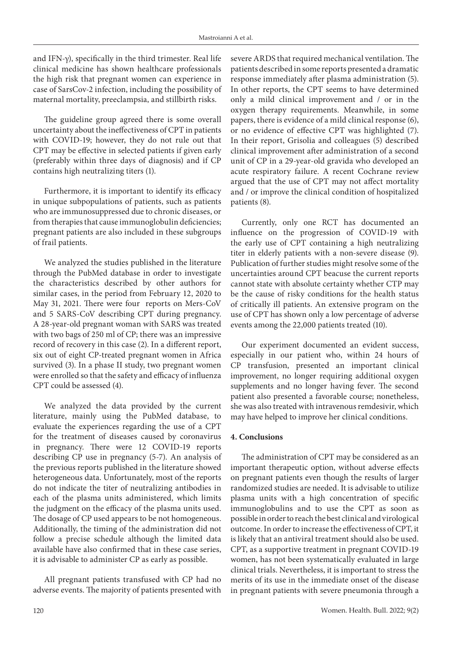and IFN-γ), specifically in the third trimester. Real life clinical medicine has shown healthcare professionals the high risk that pregnant women can experience in case of SarsCov-2 infection, including the possibility of maternal mortality, preeclampsia, and stillbirth risks.

The guideline group agreed there is some overall uncertainty about the ineffectiveness of CPT in patients with COVID-19; however, they do not rule out that CPT may be effective in selected patients if given early (preferably within three days of diagnosis) and if CP contains high neutralizing titers (1).

Furthermore, it is important to identify its efficacy in unique subpopulations of patients, such as patients who are immunosuppressed due to chronic diseases, or from therapies that cause immunoglobulin deficiencies; pregnant patients are also included in these subgroups of frail patients.

We analyzed the studies published in the literature through the PubMed database in order to investigate the characteristics described by other authors for similar cases, in the period from February 12, 2020 to May 31, 2021. There were four reports on Mers-CoV and 5 SARS-CoV describing CPT during pregnancy. A 28-year-old pregnant woman with SARS was treated with two bags of 250 ml of CP; there was an impressive record of recovery in this case (2). In a different report, six out of eight CP-treated pregnant women in Africa survived (3). In a phase II study, two pregnant women were enrolled so that the safety and efficacy of influenza CPT could be assessed (4).

We analyzed the data provided by the current literature, mainly using the PubMed database, to evaluate the experiences regarding the use of a CPT for the treatment of diseases caused by coronavirus in pregnancy. There were 12 COVID-19 reports describing CP use in pregnancy (5-7). An analysis of the previous reports published in the literature showed heterogeneous data. Unfortunately, most of the reports do not indicate the titer of neutralizing antibodies in each of the plasma units administered, which limits the judgment on the efficacy of the plasma units used. The dosage of CP used appears to be not homogeneous. Additionally, the timing of the administration did not follow a precise schedule although the limited data available have also confirmed that in these case series, it is advisable to administer CP as early as possible.

All pregnant patients transfused with CP had no adverse events. The majority of patients presented with

severe ARDS that required mechanical ventilation. The patients described in some reports presented a dramatic response immediately after plasma administration (5). In other reports, the CPT seems to have determined only a mild clinical improvement and / or in the oxygen therapy requirements. Meanwhile, in some papers, there is evidence of a mild clinical response (6), or no evidence of effective CPT was highlighted (7). In their report, Grisolia and colleagues (5) described clinical improvement after administration of a second unit of CP in a 29-year-old gravida who developed an acute respiratory failure. A recent Cochrane review argued that the use of CPT may not affect mortality and / or improve the clinical condition of hospitalized patients (8).

Currently, only one RCT has documented an influence on the progression of COVID-19 with the early use of CPT containing a high neutralizing titer in elderly patients with a non-severe disease (9). Publication of further studies might resolve some of the uncertainties around CPT beacuse the current reports cannot state with absolute certainty whether CTP may be the cause of risky conditions for the health status of critically ill patients. An extensive program on the use of CPT has shown only a low percentage of adverse events among the 22,000 patients treated (10).

Our experiment documented an evident success, especially in our patient who, within 24 hours of CP transfusion, presented an important clinical improvement, no longer requiring additional oxygen supplements and no longer having fever. The second patient also presented a favorable course; nonetheless, she was also treated with intravenous remdesivir, which may have helped to improve her clinical conditions.

# **4. Conclusions**

The administration of CPT may be considered as an important therapeutic option, without adverse effects on pregnant patients even though the results of larger randomized studies are needed. It is advisable to utilize plasma units with a high concentration of specific immunoglobulins and to use the CPT as soon as possible in order to reach the best clinical and virological outcome. In order to increase the effectiveness of CPT, it is likely that an antiviral treatment should also be used. CPT, as a supportive treatment in pregnant COVID-19 women, has not been systematically evaluated in large clinical trials. Nevertheless, it is important to stress the merits of its use in the immediate onset of the disease in pregnant patients with severe pneumonia through a